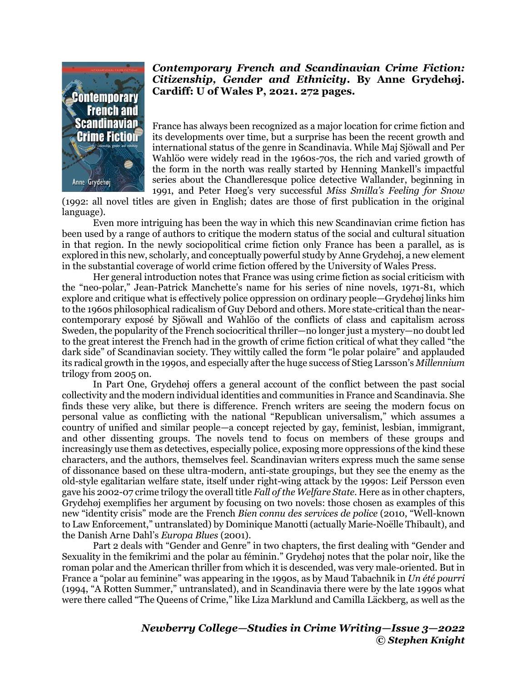

## *Contemporary French and Scandinavian Crime Fiction: Citizenship, Gender and Ethnicity***. By Anne Grydehøj. Cardiff: U of Wales P, 2021. 272 pages.**

France has always been recognized as a major location for crime fiction and its developments over time, but a surprise has been the recent growth and international status of the genre in Scandinavia. While Maj Sjöwall and Per Wahlöo were widely read in the 1960s-70s, the rich and varied growth of the form in the north was really started by Henning Mankell's impactful series about the Chandleresque police detective Wallander, beginning in 1991, and Peter Høeg's very successful *Miss Smilla's Feeling for Snow*

(1992: all novel titles are given in English; dates are those of first publication in the original language).

Even more intriguing has been the way in which this new Scandinavian crime fiction has been used by a range of authors to critique the modern status of the social and cultural situation in that region. In the newly sociopolitical crime fiction only France has been a parallel, as is explored in this new, scholarly, and conceptually powerful study by Anne Grydehøj, a new element in the substantial coverage of world crime fiction offered by the University of Wales Press.

Her general introduction notes that France was using crime fiction as social criticism with the "neo-polar," Jean-Patrick Manchette's name for his series of nine novels, 1971-81, which explore and critique what is effectively police oppression on ordinary people—Grydehøj links him to the 1960s philosophical radicalism of Guy Debord and others. More state-critical than the nearcontemporary exposé by Sjöwall and Wahlöo of the conflicts of class and capitalism across Sweden, the popularity of the French sociocritical thriller—no longer just a mystery—no doubt led to the great interest the French had in the growth of crime fiction critical of what they called "the dark side" of Scandinavian society. They wittily called the form "le polar polaire" and applauded its radical growth in the 1990s, and especially after the huge success of Stieg Larsson's *Millennium* trilogy from 2005 on.

In Part One, Grydehøj offers a general account of the conflict between the past social collectivity and the modern individual identities and communities in France and Scandinavia. She finds these very alike, but there is difference. French writers are seeing the modern focus on personal value as conflicting with the national "Republican universalism," which assumes a country of unified and similar people—a concept rejected by gay, feminist, lesbian, immigrant, and other dissenting groups. The novels tend to focus on members of these groups and increasingly use them as detectives, especially police, exposing more oppressions of the kind these characters, and the authors, themselves feel. Scandinavian writers express much the same sense of dissonance based on these ultra-modern, anti-state groupings, but they see the enemy as the old-style egalitarian welfare state, itself under right-wing attack by the 1990s: Leif Persson even gave his 2002-07 crime trilogy the overall title *Fall of the Welfare State*. Here as in other chapters, Grydehøj exemplifies her argument by focusing on two novels: those chosen as examples of this new "identity crisis" mode are the French *Bien connu des services de police* (2010, "Well-known to Law Enforcement," untranslated) by Dominique Manotti (actually Marie-Noëlle Thibault), and the Danish Arne Dahl's *Europa Blues* (2001).

Part 2 deals with "Gender and Genre" in two chapters, the first dealing with "Gender and Sexuality in the femikrimi and the polar au féminin." Grydehøj notes that the polar noir, like the roman polar and the American thriller from which it is descended, was very male-oriented. But in France a "polar au feminine" was appearing in the 1990s, as by Maud Tabachnik in *Un été pourri* (1994, "A Rotten Summer," untranslated), and in Scandinavia there were by the late 1990s what were there called "The Queens of Crime," like Liza Marklund and Camilla Läckberg, as well as the

> *Newberry College—Studies in Crime Writing—Issue 3—2022 © Stephen Knight*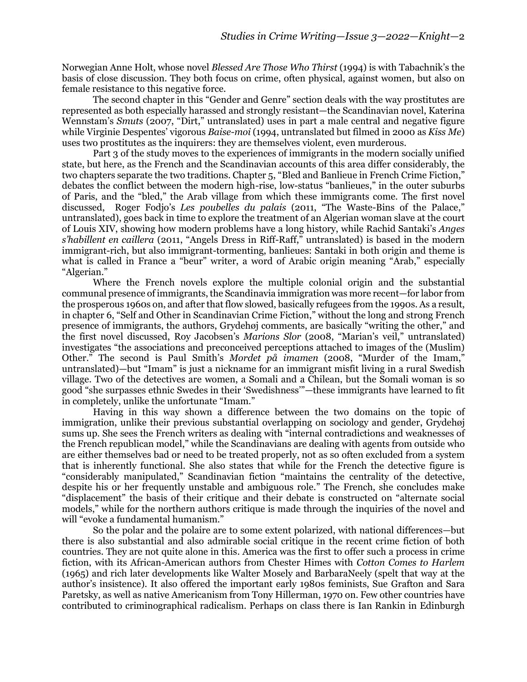Norwegian Anne Holt, whose novel *Blessed Are Those Who Thirst* (1994) is with Tabachnik's the basis of close discussion. They both focus on crime, often physical, against women, but also on female resistance to this negative force.

The second chapter in this "Gender and Genre" section deals with the way prostitutes are represented as both especially harassed and strongly resistant—the Scandinavian novel, Katerina Wennstam's *Smuts* (2007, "Dirt," untranslated) uses in part a male central and negative figure while Virginie Despentes' vigorous *Baise-moi* (1994, untranslated but filmed in 2000 as *Kiss Me*) uses two prostitutes as the inquirers: they are themselves violent, even murderous.

Part 3 of the study moves to the experiences of immigrants in the modern socially unified state, but here, as the French and the Scandinavian accounts of this area differ considerably, the two chapters separate the two traditions. Chapter 5, "Bled and Banlieue in French Crime Fiction," debates the conflict between the modern high-rise, low-status "banlieues," in the outer suburbs of Paris, and the "bled," the Arab village from which these immigrants come. The first novel discussed, Roger Fodjo's *Les poubelles du palais* (2011, "The Waste-Bins of the Palace," untranslated), goes back in time to explore the treatment of an Algerian woman slave at the court of Louis XIV, showing how modern problems have a long history, while Rachid Santaki's *Anges s'habillent en caillera* (2011, "Angels Dress in Riff-Raff," untranslated) is based in the modern immigrant-rich, but also immigrant-tormenting, banlieues: Santaki in both origin and theme is what is called in France a "beur" writer, a word of Arabic origin meaning "Arab," especially "Algerian."

Where the French novels explore the multiple colonial origin and the substantial communal presence of immigrants, the Scandinavia immigration was more recent—for labor from the prosperous 1960s on, and after that flow slowed, basically refugees from the 1990s. As a result, in chapter 6, "Self and Other in Scandinavian Crime Fiction," without the long and strong French presence of immigrants, the authors, Grydehøj comments, are basically "writing the other," and the first novel discussed, Roy Jacobsen's *Marions Slor* (2008, "Marian's veil," untranslated) investigates "the associations and preconceived perceptions attached to images of the (Muslim) Other." The second is Paul Smith's *Mordet på imamen* (2008, "Murder of the Imam," untranslated)—but "Imam" is just a nickname for an immigrant misfit living in a rural Swedish village. Two of the detectives are women, a Somali and a Chilean, but the Somali woman is so good "she surpasses ethnic Swedes in their 'Swedishness'"—these immigrants have learned to fit in completely, unlike the unfortunate "Imam."

Having in this way shown a difference between the two domains on the topic of immigration, unlike their previous substantial overlapping on sociology and gender, Grydehøj sums up. She sees the French writers as dealing with "internal contradictions and weaknesses of the French republican model," while the Scandinavians are dealing with agents from outside who are either themselves bad or need to be treated properly, not as so often excluded from a system that is inherently functional. She also states that while for the French the detective figure is "considerably manipulated," Scandinavian fiction "maintains the centrality of the detective, despite his or her frequently unstable and ambiguous role." The French, she concludes make "displacement" the basis of their critique and their debate is constructed on "alternate social models," while for the northern authors critique is made through the inquiries of the novel and will "evoke a fundamental humanism."

So the polar and the polaire are to some extent polarized, with national differences—but there is also substantial and also admirable social critique in the recent crime fiction of both countries. They are not quite alone in this. America was the first to offer such a process in crime fiction, with its African-American authors from Chester Himes with *Cotton Comes to Harlem* (1965) and rich later developments like Walter Mosely and BarbaraNeely (spelt that way at the author's insistence). It also offered the important early 1980s feminists, Sue Grafton and Sara Paretsky, as well as native Americanism from Tony Hillerman, 1970 on. Few other countries have contributed to criminographical radicalism. Perhaps on class there is Ian Rankin in Edinburgh